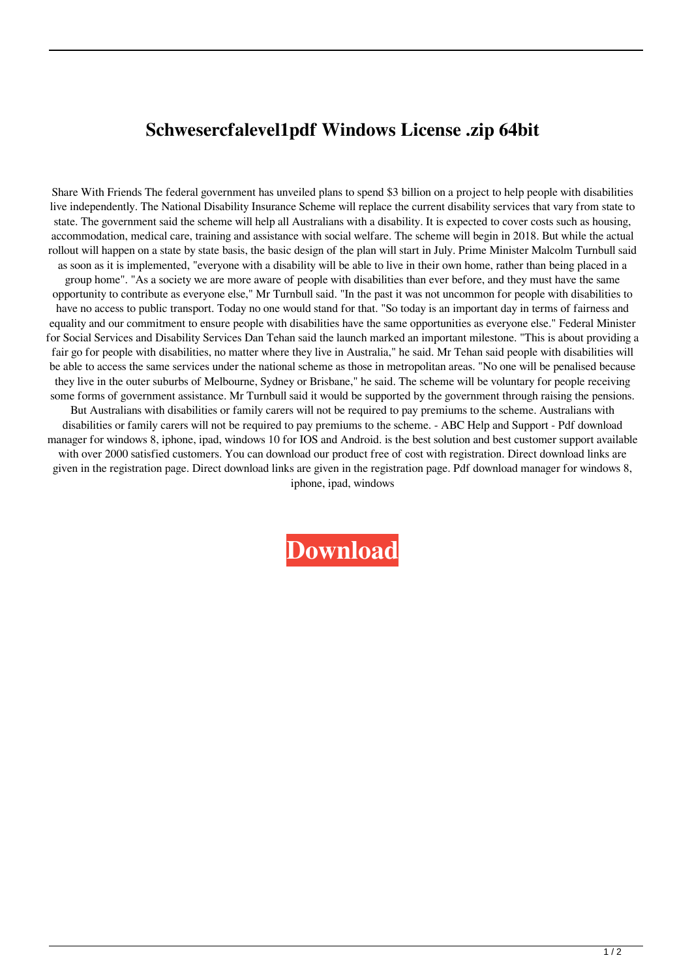## **Schwesercfalevel1pdf Windows License .zip 64bit**

Share With Friends The federal government has unveiled plans to spend \$3 billion on a project to help people with disabilities live independently. The National Disability Insurance Scheme will replace the current disability services that vary from state to state. The government said the scheme will help all Australians with a disability. It is expected to cover costs such as housing, accommodation, medical care, training and assistance with social welfare. The scheme will begin in 2018. But while the actual rollout will happen on a state by state basis, the basic design of the plan will start in July. Prime Minister Malcolm Turnbull said as soon as it is implemented, "everyone with a disability will be able to live in their own home, rather than being placed in a group home". "As a society we are more aware of people with disabilities than ever before, and they must have the same opportunity to contribute as everyone else," Mr Turnbull said. "In the past it was not uncommon for people with disabilities to have no access to public transport. Today no one would stand for that. "So today is an important day in terms of fairness and equality and our commitment to ensure people with disabilities have the same opportunities as everyone else." Federal Minister for Social Services and Disability Services Dan Tehan said the launch marked an important milestone. "This is about providing a fair go for people with disabilities, no matter where they live in Australia," he said. Mr Tehan said people with disabilities will be able to access the same services under the national scheme as those in metropolitan areas. "No one will be penalised because they live in the outer suburbs of Melbourne, Sydney or Brisbane," he said. The scheme will be voluntary for people receiving some forms of government assistance. Mr Turnbull said it would be supported by the government through raising the pensions. But Australians with disabilities or family carers will not be required to pay premiums to the scheme. Australians with disabilities or family carers will not be required to pay premiums to the scheme. - ABC Help and Support - Pdf download manager for windows 8, iphone, ipad, windows 10 for IOS and Android. is the best solution and best customer support available with over 2000 satisfied customers. You can download our product free of cost with registration. Direct download links are given in the registration page. Direct download links are given in the registration page. Pdf download manager for windows 8, iphone, ipad, windows